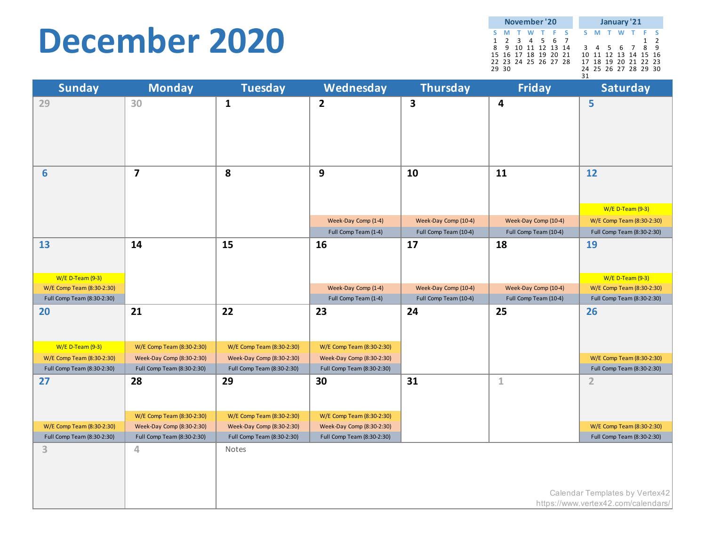### **December 2020**

| November '20 |       |                      |  |  |  |  | January '21 |  |  |                      |  |  |  |
|--------------|-------|----------------------|--|--|--|--|-------------|--|--|----------------------|--|--|--|
|              |       | S M T W T F S        |  |  |  |  |             |  |  | S M T W T F S        |  |  |  |
|              |       | 1 2 3 4 5 6 7        |  |  |  |  |             |  |  |                      |  |  |  |
|              |       | 8 9 10 11 12 13 14   |  |  |  |  |             |  |  | 3 4 5 6 7 8 9        |  |  |  |
|              |       | 15 16 17 18 19 20 21 |  |  |  |  |             |  |  | 10 11 12 13 14 15 16 |  |  |  |
|              |       | 22 23 24 25 26 27 28 |  |  |  |  |             |  |  | 17 18 19 20 21 22 23 |  |  |  |
|              | 29 30 |                      |  |  |  |  |             |  |  | 24 25 26 27 28 29 30 |  |  |  |
|              |       |                      |  |  |  |  | 31          |  |  |                      |  |  |  |

| <b>Sunday</b>              | <b>Monday</b>              | <b>Tuesday</b>             | Wednesday                  | <b>Thursday</b>       | <b>Friday</b>         | <b>Saturday</b>                     |
|----------------------------|----------------------------|----------------------------|----------------------------|-----------------------|-----------------------|-------------------------------------|
| 29                         | 30                         | $\mathbf{1}$               | $\overline{2}$             | $\mathbf{3}$          | 4                     | 5                                   |
|                            |                            |                            |                            |                       |                       |                                     |
|                            |                            |                            |                            |                       |                       |                                     |
| $6\phantom{1}$             | $\overline{\mathbf{z}}$    | 8                          | $\boldsymbol{9}$           | 10                    | 11                    | 12                                  |
|                            |                            |                            |                            |                       |                       | W/E D-Team (9-3)                    |
|                            |                            |                            | Week-Day Comp (1-4)        | Week-Day Comp (10-4)  | Week-Day Comp (10-4)  | W/E Comp Team (8:30-2:30)           |
|                            |                            |                            | Full Comp Team (1-4)       | Full Comp Team (10-4) | Full Comp Team (10-4) | Full Comp Team (8:30-2:30)          |
| 13                         | 14                         | 15                         | 16                         | 17                    | 18                    | <b>19</b>                           |
|                            |                            |                            |                            |                       |                       |                                     |
| W/E D-Team (9-3)           |                            |                            |                            |                       |                       | W/E D-Team (9-3)                    |
| W/E Comp Team (8:30-2:30)  |                            |                            | Week-Day Comp (1-4)        | Week-Day Comp (10-4)  | Week-Day Comp (10-4)  | W/E Comp Team (8:30-2:30)           |
| Full Comp Team (8:30-2:30) |                            |                            | Full Comp Team (1-4)       | Full Comp Team (10-4) | Full Comp Team (10-4) | Full Comp Team (8:30-2:30)          |
| 20                         | 21                         | 22                         | 23                         | 24                    | 25                    | 26                                  |
|                            |                            |                            |                            |                       |                       |                                     |
| W/E D-Team (9-3)           | W/E Comp Team (8:30-2:30)  | W/E Comp Team (8:30-2:30)  | W/E Comp Team (8:30-2:30)  |                       |                       |                                     |
| W/E Comp Team (8:30-2:30)  | Week-Day Comp (8:30-2:30)  | Week-Day Comp (8:30-2:30)  | Week-Day Comp (8:30-2:30)  |                       |                       | W/E Comp Team (8:30-2:30)           |
| Full Comp Team (8:30-2:30) | Full Comp Team (8:30-2:30) | Full Comp Team (8:30-2:30) | Full Comp Team (8:30-2:30) |                       |                       | Full Comp Team (8:30-2:30)          |
| 27                         | 28                         | 29                         | 30                         | 31                    | $\mathbf 1$           | $\overline{2}$                      |
|                            |                            |                            |                            |                       |                       |                                     |
|                            |                            |                            |                            |                       |                       |                                     |
|                            | W/E Comp Team (8:30-2:30)  | W/E Comp Team (8:30-2:30)  | W/E Comp Team (8:30-2:30)  |                       |                       |                                     |
| W/E Comp Team (8:30-2:30)  | Week-Day Comp (8:30-2:30)  | Week-Day Comp (8:30-2:30)  | Week-Day Comp (8:30-2:30)  |                       |                       | W/E Comp Team (8:30-2:30)           |
| Full Comp Team (8:30-2:30) | Full Comp Team (8:30-2:30) | Full Comp Team (8:30-2:30) | Full Comp Team (8:30-2:30) |                       |                       | Full Comp Team (8:30-2:30)          |
| 3                          | 4                          | Notes                      |                            |                       |                       |                                     |
|                            |                            |                            |                            |                       |                       |                                     |
|                            |                            |                            |                            |                       |                       |                                     |
|                            |                            |                            |                            |                       |                       | Calendar Templates by Vertex42      |
|                            |                            |                            |                            |                       |                       | https://www.vertex42.com/calendars/ |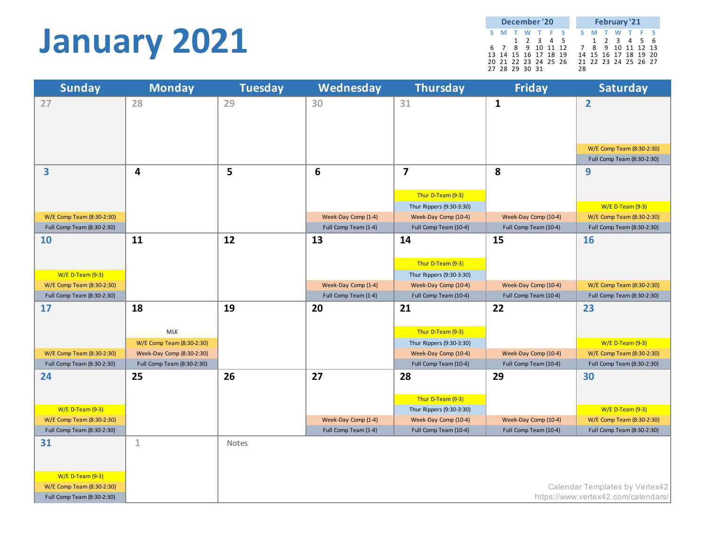### **January 2021**

| December '20 |                      |  |           |  |  | <b>February '21</b> |                   |  |  |                      |  |  |  |
|--------------|----------------------|--|-----------|--|--|---------------------|-------------------|--|--|----------------------|--|--|--|
|              | S M T W T F S        |  |           |  |  |                     |                   |  |  | S M T W T F S        |  |  |  |
|              |                      |  | 1 2 3 4 5 |  |  |                     |                   |  |  | 1 2 3 4 5 6          |  |  |  |
|              | 6 7 8 9 10 11 12     |  |           |  |  |                     | 7 8 9 10 11 12 13 |  |  |                      |  |  |  |
|              | 13 14 15 16 17 18 19 |  |           |  |  |                     |                   |  |  | 14 15 16 17 18 19 20 |  |  |  |
|              | 20 21 22 23 24 25 26 |  |           |  |  |                     |                   |  |  | 21 22 23 24 25 26 27 |  |  |  |
|              | 27 28 29 30 31       |  |           |  |  |                     | 28                |  |  |                      |  |  |  |

| <b>Sunday</b>                                   | <b>Monday</b>                                           | <b>Tuesday</b> | Wednesday            | <b>Thursday</b>                                  | <b>Friday</b>         | <b>Saturday</b>                               |
|-------------------------------------------------|---------------------------------------------------------|----------------|----------------------|--------------------------------------------------|-----------------------|-----------------------------------------------|
| 27                                              | 28                                                      | 29             | 30                   | 31                                               | $\mathbf{1}$          | $\overline{2}$                                |
|                                                 |                                                         |                |                      |                                                  |                       |                                               |
|                                                 |                                                         |                |                      |                                                  |                       |                                               |
|                                                 |                                                         |                |                      |                                                  |                       |                                               |
|                                                 |                                                         |                |                      |                                                  |                       | W/E Comp Team (8:30-2:30)                     |
|                                                 |                                                         |                |                      |                                                  |                       | Full Comp Team (8:30-2:30)                    |
| 3                                               | 4                                                       | 5              | $6\phantom{1}6$      | $\overline{\mathbf{z}}$                          | 8                     | 9                                             |
|                                                 |                                                         |                |                      |                                                  |                       |                                               |
|                                                 |                                                         |                |                      | Thur D-Team (9-3)                                |                       | W/E D-Team (9-3)                              |
| W/E Comp Team (8:30-2:30)                       |                                                         |                | Week-Day Comp (1-4)  | Thur Rippers (9:30-3:30)<br>Week-Day Comp (10-4) | Week-Day Comp (10-4)  | W/E Comp Team (8:30-2:30)                     |
| Full Comp Team (8:30-2:30)                      |                                                         |                | Full Comp Team (1-4) | Full Comp Team (10-4)                            | Full Comp Team (10-4) | Full Comp Team (8:30-2:30)                    |
| <b>10</b>                                       | 11                                                      | 12             | 13                   | 14                                               | 15                    | <b>16</b>                                     |
|                                                 |                                                         |                |                      |                                                  |                       |                                               |
|                                                 |                                                         |                |                      | Thur D-Team (9-3)                                |                       |                                               |
| $W/E$ D-Team (9-3)                              |                                                         |                |                      | Thur Rippers (9:30-3:30)                         |                       |                                               |
| W/E Comp Team (8:30-2:30)                       |                                                         |                | Week-Day Comp (1-4)  | Week-Day Comp (10-4)                             | Week-Day Comp (10-4)  | W/E Comp Team (8:30-2:30)                     |
| Full Comp Team (8:30-2:30)                      |                                                         |                | Full Comp Team (1-4) | Full Comp Team (10-4)                            | Full Comp Team (10-4) | Full Comp Team (8:30-2:30)                    |
| 17                                              | 18                                                      | 19             | 20                   | 21                                               | 22                    | 23                                            |
|                                                 |                                                         |                |                      |                                                  |                       |                                               |
|                                                 | <b>MLK</b>                                              |                |                      | Thur D-Team (9-3)                                |                       |                                               |
| W/E Comp Team (8:30-2:30)                       | W/E Comp Team (8:30-2:30)                               |                |                      | Thur Rippers (9:30-3:30)                         | Week-Day Comp (10-4)  | W/E D-Team (9-3)<br>W/E Comp Team (8:30-2:30) |
| Full Comp Team (8:30-2:30)                      | Week-Day Comp (8:30-2:30)<br>Full Comp Team (8:30-2:30) |                |                      | Week-Day Comp (10-4)<br>Full Comp Team (10-4)    | Full Comp Team (10-4) | Full Comp Team (8:30-2:30)                    |
| 24                                              | 25                                                      | 26             | 27                   | 28                                               | 29                    | 30                                            |
|                                                 |                                                         |                |                      |                                                  |                       |                                               |
|                                                 |                                                         |                |                      | Thur D-Team (9-3)                                |                       |                                               |
| $W/E$ D-Team (9-3)                              |                                                         |                |                      | Thur Rippers (9:30-3:30)                         |                       | <b>W/E D-Team (9-3)</b>                       |
| W/E Comp Team (8:30-2:30)                       |                                                         |                | Week-Day Comp (1-4)  | Week-Day Comp (10-4)                             | Week-Day Comp (10-4)  | W/E Comp Team (8:30-2:30)                     |
| Full Comp Team (8:30-2:30)                      |                                                         |                | Full Comp Team (1-4) | Full Comp Team (10-4)                            | Full Comp Team (10-4) | Full Comp Team (8:30-2:30)                    |
| 31                                              | $\mathbf 1$                                             | Notes          |                      |                                                  |                       |                                               |
|                                                 |                                                         |                |                      |                                                  |                       |                                               |
|                                                 |                                                         |                |                      |                                                  |                       |                                               |
| $W/E$ D-Team (9-3)<br>W/E Comp Team (8:30-2:30) |                                                         |                |                      |                                                  |                       | Calendar Templates by Vertex42                |
| Full Comp Team (8:30-2:30)                      |                                                         |                |                      |                                                  |                       | https://www.vertex42.com/calendars/           |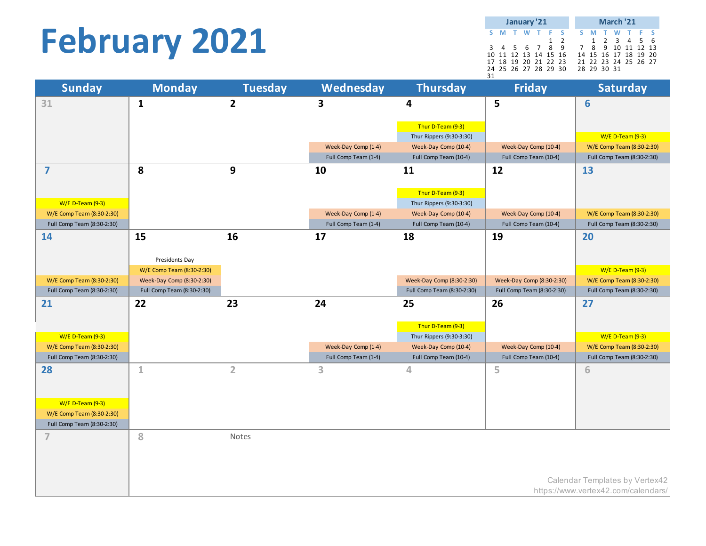## **February 2021**

|    | January '21          |  |  |  |  |          |  | March '21 |  |             |                      |  |  |  |
|----|----------------------|--|--|--|--|----------|--|-----------|--|-------------|----------------------|--|--|--|
|    | S M T W T F S        |  |  |  |  |          |  |           |  |             | S M T W T F S        |  |  |  |
|    |                      |  |  |  |  | $1\quad$ |  |           |  |             | 1 2 3 4 5 6          |  |  |  |
|    | 3 4 5 6 7 8 9        |  |  |  |  |          |  |           |  |             | 7 8 9 10 11 12 13    |  |  |  |
|    | 10 11 12 13 14 15 16 |  |  |  |  |          |  |           |  |             | 14 15 16 17 18 19 20 |  |  |  |
|    | 17 18 19 20 21 22 23 |  |  |  |  |          |  |           |  |             | 21 22 23 24 25 26 27 |  |  |  |
|    | 24 25 26 27 28 29 30 |  |  |  |  |          |  |           |  | 28 29 30 31 |                      |  |  |  |
| 31 |                      |  |  |  |  |          |  |           |  |             |                      |  |  |  |

| <b>Sunday</b>              | <b>Monday</b>              | <b>Tuesday</b> | Wednesday               | <b>Thursday</b>            | <b>Friday</b>              | <b>Saturday</b>                     |
|----------------------------|----------------------------|----------------|-------------------------|----------------------------|----------------------------|-------------------------------------|
| 31                         | $\mathbf{1}$               | $\mathbf{2}$   | $\overline{\mathbf{3}}$ | 4                          | 5                          | $6\phantom{a}$                      |
|                            |                            |                |                         |                            |                            |                                     |
|                            |                            |                |                         | Thur D-Team (9-3)          |                            |                                     |
|                            |                            |                |                         | Thur Rippers (9:30-3:30)   |                            | W/E D-Team (9-3)                    |
|                            |                            |                | Week-Day Comp (1-4)     | Week-Day Comp (10-4)       | Week-Day Comp (10-4)       | W/E Comp Team (8:30-2:30)           |
|                            |                            |                | Full Comp Team (1-4)    | Full Comp Team (10-4)      | Full Comp Team (10-4)      | Full Comp Team (8:30-2:30)          |
| $\overline{\mathbf{z}}$    | 8                          | 9              | 10                      | 11                         | 12                         | 13                                  |
|                            |                            |                |                         |                            |                            |                                     |
|                            |                            |                |                         | Thur D-Team (9-3)          |                            |                                     |
| W/E D-Team (9-3)           |                            |                |                         | Thur Rippers (9:30-3:30)   |                            |                                     |
| W/E Comp Team (8:30-2:30)  |                            |                | Week-Day Comp (1-4)     | Week-Day Comp (10-4)       | Week-Day Comp (10-4)       | W/E Comp Team (8:30-2:30)           |
| Full Comp Team (8:30-2:30) |                            |                | Full Comp Team (1-4)    | Full Comp Team (10-4)      | Full Comp Team (10-4)      | Full Comp Team (8:30-2:30)          |
| 14                         | 15                         | 16             | 17                      | 18                         | 19                         | 20                                  |
|                            |                            |                |                         |                            |                            |                                     |
|                            | Presidents Day             |                |                         |                            |                            |                                     |
|                            | W/E Comp Team (8:30-2:30)  |                |                         |                            |                            | W/E D-Team (9-3)                    |
| W/E Comp Team (8:30-2:30)  | Week-Day Comp (8:30-2:30)  |                |                         | Week-Day Comp (8:30-2:30)  | Week-Day Comp (8:30-2:30)  | W/E Comp Team (8:30-2:30)           |
| Full Comp Team (8:30-2:30) | Full Comp Team (8:30-2:30) |                |                         | Full Comp Team (8:30-2:30) | Full Comp Team (8:30-2:30) | Full Comp Team (8:30-2:30)          |
| 21                         | 22                         | 23             | 24                      | 25                         | 26                         | 27                                  |
|                            |                            |                |                         |                            |                            |                                     |
|                            |                            |                |                         | Thur D-Team (9-3)          |                            |                                     |
| W/E D-Team (9-3)           |                            |                |                         | Thur Rippers (9:30-3:30)   |                            | W/E D-Team (9-3)                    |
| W/E Comp Team (8:30-2:30)  |                            |                | Week-Day Comp (1-4)     | Week-Day Comp (10-4)       | Week-Day Comp (10-4)       | W/E Comp Team (8:30-2:30)           |
| Full Comp Team (8:30-2:30) |                            |                | Full Comp Team (1-4)    | Full Comp Team (10-4)      | Full Comp Team (10-4)      | Full Comp Team (8:30-2:30)          |
| 28                         | $\mathbf 1$                | $\overline{2}$ | 3                       | 4                          | 5                          | 6                                   |
|                            |                            |                |                         |                            |                            |                                     |
|                            |                            |                |                         |                            |                            |                                     |
| <b>W/E D-Team (9-3)</b>    |                            |                |                         |                            |                            |                                     |
| W/E Comp Team (8:30-2:30)  |                            |                |                         |                            |                            |                                     |
| Full Comp Team (8:30-2:30) |                            |                |                         |                            |                            |                                     |
| $\overline{7}$             | 8                          | Notes          |                         |                            |                            |                                     |
|                            |                            |                |                         |                            |                            |                                     |
|                            |                            |                |                         |                            |                            |                                     |
|                            |                            |                |                         |                            |                            |                                     |
|                            |                            |                |                         |                            |                            | Calendar Templates by Vertex42      |
|                            |                            |                |                         |                            |                            | https://www.vertex42.com/calendars/ |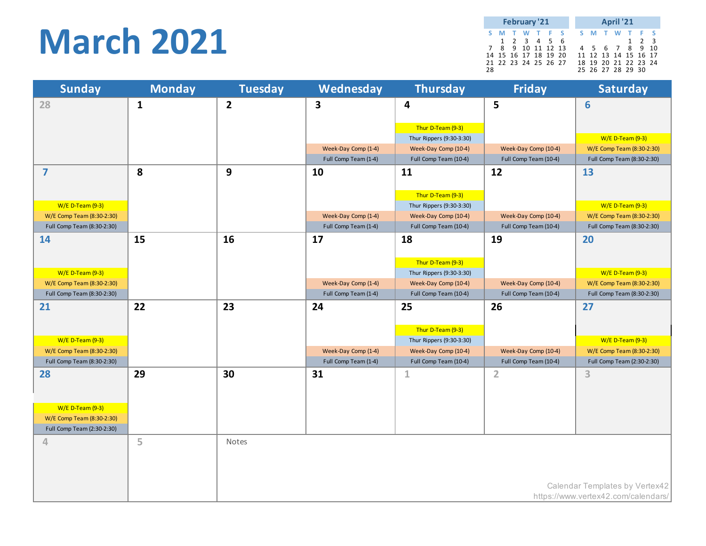### **March 2021**

|    | February '21 |  |                      |  |  |  |  | April '21 |  |  |                      |  |                     |  |
|----|--------------|--|----------------------|--|--|--|--|-----------|--|--|----------------------|--|---------------------|--|
|    |              |  | S M T W T F S        |  |  |  |  |           |  |  | S M T W T F S        |  |                     |  |
|    |              |  | 1 2 3 4 5 6          |  |  |  |  |           |  |  |                      |  | $1 \quad 2 \quad 3$ |  |
|    |              |  | 7 8 9 10 11 12 13    |  |  |  |  |           |  |  | 4 5 6 7 8 9 10       |  |                     |  |
|    |              |  | 14 15 16 17 18 19 20 |  |  |  |  |           |  |  | 11 12 13 14 15 16 17 |  |                     |  |
|    |              |  | 21 22 23 24 25 26 27 |  |  |  |  |           |  |  | 18 19 20 21 22 23 24 |  |                     |  |
| 28 |              |  |                      |  |  |  |  |           |  |  | 25 26 27 28 29 30    |  |                     |  |

| <b>Sunday</b>              | <b>Monday</b> | <b>Tuesday</b> | Wednesday               | <b>Thursday</b>          | <b>Friday</b>         | <b>Saturday</b>                     |
|----------------------------|---------------|----------------|-------------------------|--------------------------|-----------------------|-------------------------------------|
| 28                         | $\mathbf{1}$  | $\overline{2}$ | $\overline{\mathbf{3}}$ | 4                        | 5                     | 6                                   |
|                            |               |                |                         |                          |                       |                                     |
|                            |               |                |                         | Thur D-Team (9-3)        |                       |                                     |
|                            |               |                |                         | Thur Rippers (9:30-3:30) |                       | W/E D-Team (9-3)                    |
|                            |               |                | Week-Day Comp (1-4)     | Week-Day Comp (10-4)     | Week-Day Comp (10-4)  | W/E Comp Team (8:30-2:30)           |
|                            |               |                | Full Comp Team (1-4)    | Full Comp Team (10-4)    | Full Comp Team (10-4) | Full Comp Team (8:30-2:30)          |
| $\overline{7}$             | 8             | 9              | 10                      | 11                       | 12                    | 13                                  |
|                            |               |                |                         |                          |                       |                                     |
|                            |               |                |                         | Thur D-Team (9-3)        |                       |                                     |
| $W/E$ D-Team (9-3)         |               |                |                         | Thur Rippers (9:30-3:30) |                       | W/E D-Team (9-3)                    |
| W/E Comp Team (8:30-2:30)  |               |                | Week-Day Comp (1-4)     | Week-Day Comp (10-4)     | Week-Day Comp (10-4)  | W/E Comp Team (8:30-2:30)           |
| Full Comp Team (8:30-2:30) |               |                | Full Comp Team (1-4)    | Full Comp Team (10-4)    | Full Comp Team (10-4) | Full Comp Team (8:30-2:30)          |
| 14                         | 15            | 16             | 17                      | 18                       | 19                    | 20                                  |
|                            |               |                |                         |                          |                       |                                     |
|                            |               |                |                         | Thur D-Team (9-3)        |                       |                                     |
| $W/E$ D-Team (9-3)         |               |                |                         | Thur Rippers (9:30-3:30) |                       | W/E D-Team (9-3)                    |
| W/E Comp Team (8:30-2:30)  |               |                | Week-Day Comp (1-4)     | Week-Day Comp (10-4)     | Week-Day Comp (10-4)  | W/E Comp Team (8:30-2:30)           |
| Full Comp Team (8:30-2:30) |               |                | Full Comp Team (1-4)    | Full Comp Team (10-4)    | Full Comp Team (10-4) | Full Comp Team (8:30-2:30)          |
| 21                         | 22            | 23             | 24                      | 25                       | 26                    | 27                                  |
|                            |               |                |                         |                          |                       |                                     |
|                            |               |                |                         | Thur D-Team (9-3)        |                       |                                     |
| $W/E$ D-Team (9-3)         |               |                |                         | Thur Rippers (9:30-3:30) |                       | W/E D-Team (9-3)                    |
| W/E Comp Team (8:30-2:30)  |               |                | Week-Day Comp (1-4)     | Week-Day Comp (10-4)     | Week-Day Comp (10-4)  | W/E Comp Team (8:30-2:30)           |
| Full Comp Team (8:30-2:30) |               |                | Full Comp Team (1-4)    | Full Comp Team (10-4)    | Full Comp Team (10-4) | Full Comp Team (2:30-2:30)          |
| 28                         | 29            | 30             | 31                      | $\mathbf{1}$             | $\overline{2}$        | 3                                   |
|                            |               |                |                         |                          |                       |                                     |
|                            |               |                |                         |                          |                       |                                     |
| $W/E$ D-Team (9-3)         |               |                |                         |                          |                       |                                     |
| W/E Comp Team (8:30-2:30)  |               |                |                         |                          |                       |                                     |
| Full Comp Team (2:30-2:30) |               |                |                         |                          |                       |                                     |
| 4                          | 5             | Notes          |                         |                          |                       |                                     |
|                            |               |                |                         |                          |                       |                                     |
|                            |               |                |                         |                          |                       |                                     |
|                            |               |                |                         |                          |                       |                                     |
|                            |               |                |                         |                          |                       | Calendar Templates by Vertex42      |
|                            |               |                |                         |                          |                       | https://www.vertex42.com/calendars/ |